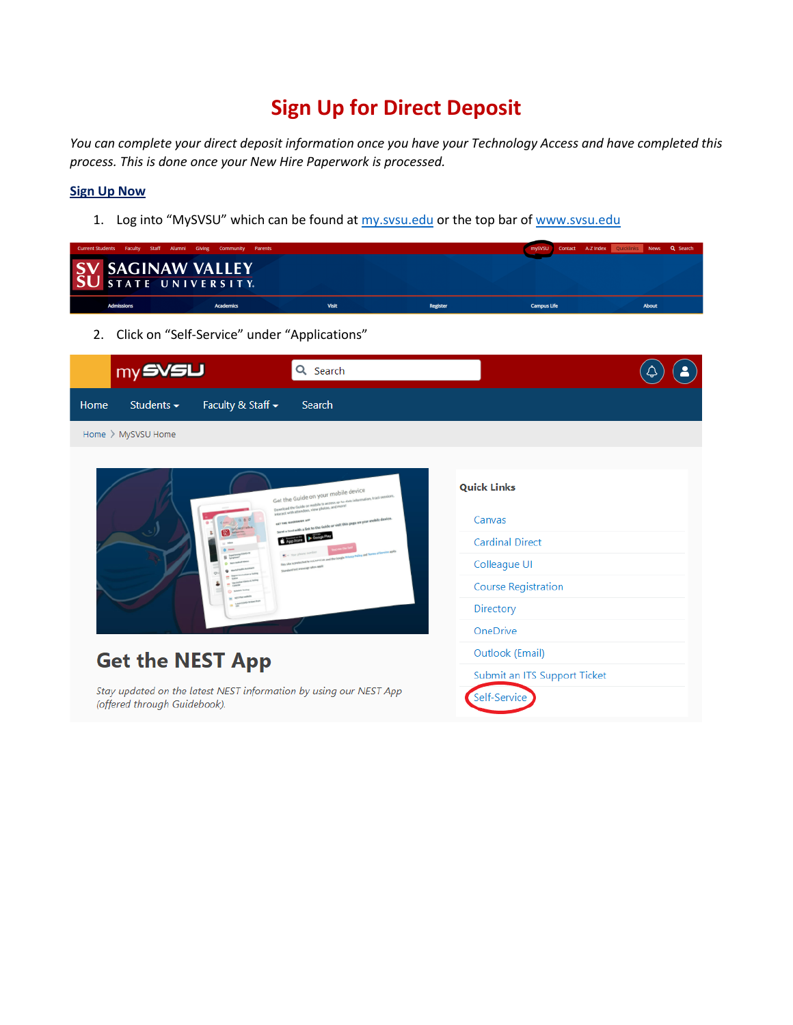# **Sign Up for Direct Deposit**

*You can complete your direct deposit information once you have your Technology Access and have completed this process. This is done once your New Hire Paperwork is processed.* 

# **Sign Up Now**

1. Log into "MySVSU" which can be found at my.svsu.edu or the top bar of [www.svsu.edu](http://www.svsu.edu/)

| <b>Current Students Faculty</b> | Staff<br>Alumni                            | Community<br>Parents<br>Giving |                                                                                                                                                                      |                        | A-Z Index Quicklinks<br>Contact<br>mySVSU | Q Search<br><b>News</b> |  |
|---------------------------------|--------------------------------------------|--------------------------------|----------------------------------------------------------------------------------------------------------------------------------------------------------------------|------------------------|-------------------------------------------|-------------------------|--|
| S <sub>1</sub>                  | <b>SAGINAW VALLEY</b><br>STATE UNIVERSITY. |                                |                                                                                                                                                                      |                        |                                           |                         |  |
|                                 |                                            |                                |                                                                                                                                                                      |                        |                                           |                         |  |
|                                 | <b>Admissions</b>                          | <b>Academics</b>               | <b>Visit</b>                                                                                                                                                         | Register               | <b>Campus Life</b>                        | <b>About</b>            |  |
| 2.                              |                                            |                                | Click on "Self-Service" under "Applications"                                                                                                                         |                        |                                           |                         |  |
|                                 | my SVSU                                    |                                | Q Search                                                                                                                                                             |                        |                                           |                         |  |
| Home                            | Students $\sim$                            | Faculty & Staff -              | Search                                                                                                                                                               |                        |                                           |                         |  |
|                                 | Home > MySVSU Home                         |                                |                                                                                                                                                                      |                        |                                           |                         |  |
|                                 |                                            |                                |                                                                                                                                                                      |                        |                                           |                         |  |
|                                 |                                            |                                |                                                                                                                                                                      | <b>Quick Links</b>     |                                           |                         |  |
|                                 |                                            |                                | Get the Guide on your mobile device<br>should the Caulde on wobile to access up he-date information, track session<br>staract with attendees, view photos, and more! |                        |                                           |                         |  |
|                                 |                                            |                                | Sond a text with a link to the Gaide or visit this page on your crobile device                                                                                       | Canvas                 |                                           |                         |  |
|                                 |                                            |                                | $\bullet$ App Store                                                                                                                                                  | <b>Cardinal Direct</b> |                                           |                         |  |
|                                 |                                            |                                |                                                                                                                                                                      | Colleague UI           |                                           |                         |  |
|                                 |                                            |                                |                                                                                                                                                                      |                        | <b>Course Registration</b>                |                         |  |
|                                 |                                            |                                |                                                                                                                                                                      |                        | Directory                                 |                         |  |
|                                 |                                            |                                |                                                                                                                                                                      |                        | OneDrive                                  |                         |  |
|                                 |                                            |                                |                                                                                                                                                                      | Outlook (Email)        |                                           |                         |  |
| <b>Get the NEST App</b>         |                                            |                                |                                                                                                                                                                      |                        | Submit an ITS Support Ticket              |                         |  |
|                                 | (offered through Guidebook).               |                                | Stay updated on the latest NEST information by using our NEST App                                                                                                    | Self-Service           |                                           |                         |  |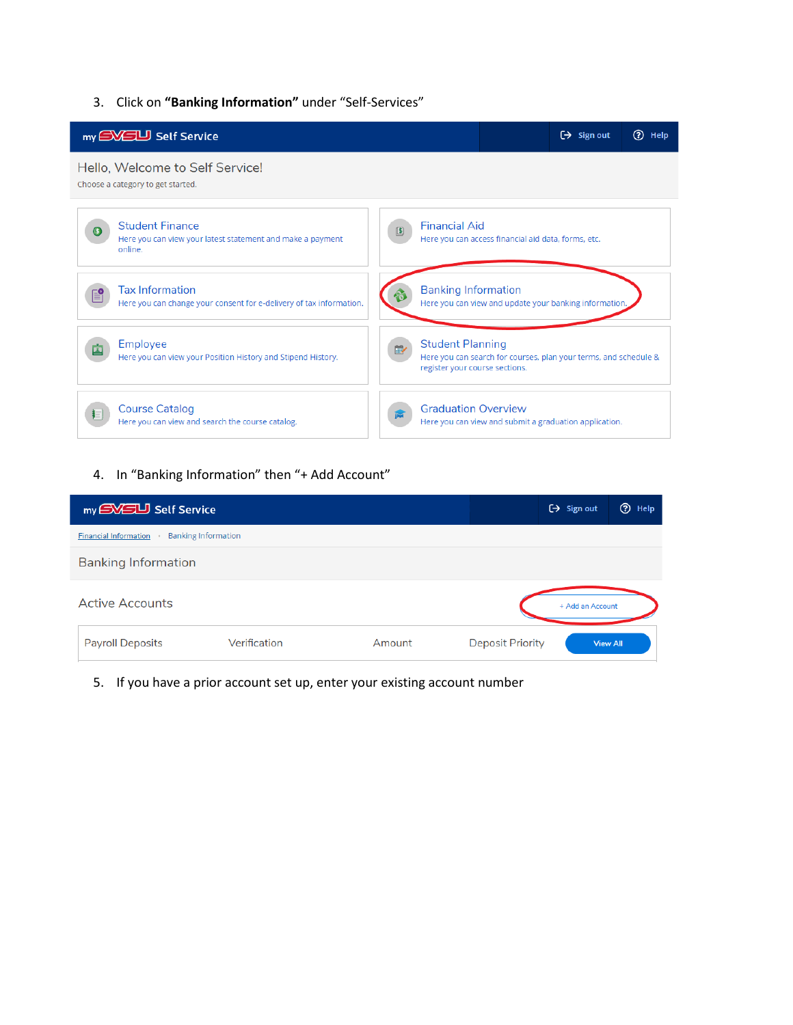#### 3. Click on **"Banking Information"** under "Self-Services"



### 4. In "Banking Information" then "+ Add Account"

| my EVEU Self Service                                       |              | $\Theta$ Sign out | <b>①</b> Help           |                  |                 |
|------------------------------------------------------------|--------------|-------------------|-------------------------|------------------|-----------------|
| <b>Banking Information</b><br><b>Financial Information</b> |              |                   |                         |                  |                 |
| <b>Banking Information</b>                                 |              |                   |                         |                  |                 |
| <b>Active Accounts</b>                                     |              |                   |                         | + Add an Account |                 |
| <b>Payroll Deposits</b>                                    | Verification | Amount            | <b>Deposit Priority</b> |                  | <b>View All</b> |

5. If you have a prior account set up, enter your existing account number